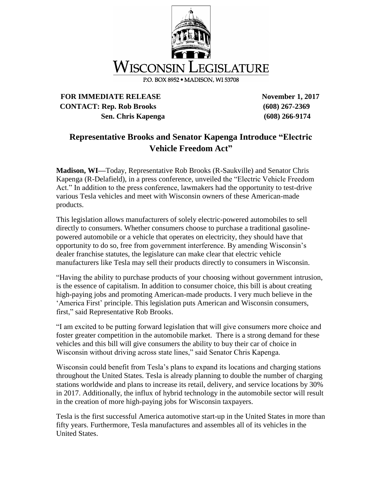

## **FOR IMMEDIATE RELEASE November 1, 2017 CONTACT: Rep. Rob Brooks (608) 267-2369 Sen. Chris Kapenga (608) 266-9174**

## **Representative Brooks and Senator Kapenga Introduce "Electric Vehicle Freedom Act"**

**Madison, WI—**Today, Representative Rob Brooks (R-Saukville) and Senator Chris Kapenga (R-Delafield), in a press conference, unveiled the "Electric Vehicle Freedom Act." In addition to the press conference, lawmakers had the opportunity to test-drive various Tesla vehicles and meet with Wisconsin owners of these American-made products.

This legislation allows manufacturers of solely electric-powered automobiles to sell directly to consumers. Whether consumers choose to purchase a traditional gasolinepowered automobile or a vehicle that operates on electricity, they should have that opportunity to do so, free from government interference. By amending Wisconsin's dealer franchise statutes, the legislature can make clear that electric vehicle manufacturers like Tesla may sell their products directly to consumers in Wisconsin.

"Having the ability to purchase products of your choosing without government intrusion, is the essence of capitalism. In addition to consumer choice, this bill is about creating high-paying jobs and promoting American-made products. I very much believe in the 'America First' principle. This legislation puts American and Wisconsin consumers, first," said Representative Rob Brooks.

"I am excited to be putting forward legislation that will give consumers more choice and foster greater competition in the automobile market. There is a strong demand for these vehicles and this bill will give consumers the ability to buy their car of choice in Wisconsin without driving across state lines," said Senator Chris Kapenga.

Wisconsin could benefit from Tesla's plans to expand its locations and charging stations throughout the United States. Tesla is already planning to double the number of charging stations worldwide and plans to increase its retail, delivery, and service locations by 30% in 2017. Additionally, the influx of hybrid technology in the automobile sector will result in the creation of more high-paying jobs for Wisconsin taxpayers.

Tesla is the first successful America automotive start-up in the United States in more than fifty years. Furthermore, Tesla manufactures and assembles all of its vehicles in the United States.